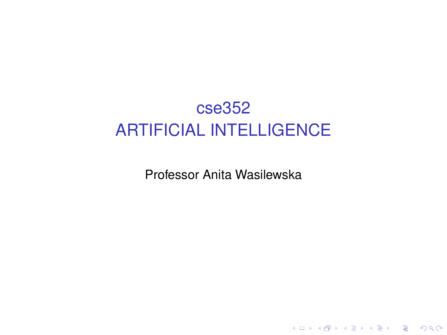# <span id="page-0-0"></span>cse352 ARTIFICIAL INTELLIGENCE

Professor Anita Wasilewska

K ロ ▶ K @ ▶ K 할 ▶ K 할 ▶ ( 할 ) 10 Q Q ·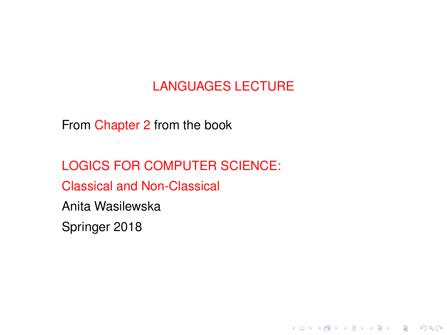# LANGUAGES LECTURE

K ロ ▶ K @ ▶ K 할 ▶ K 할 ▶ 이 할 → 9 Q Q\*

From Chapter 2 from the book

LOGICS FOR COMPUTER SCIENCE: Classical and Non-Classical Anita Wasilewska Springer 2018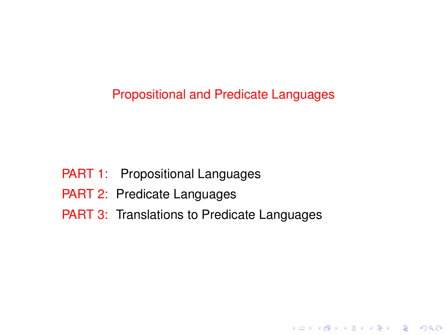Propositional and Predicate Languages

K ロ ▶ K @ ▶ K 할 ▶ K 할 ▶ 이 할 → 9 Q @

- PART 1: Propositional Languages
- PART 2: Predicate Languages
- PART 3: Translations to Predicate Languages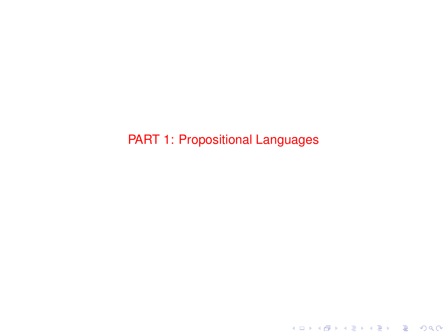PART 1: Propositional Languages

K ロ ▶ K @ ▶ K 할 ▶ K 할 ▶ . 할 . ⊙ Q Q\*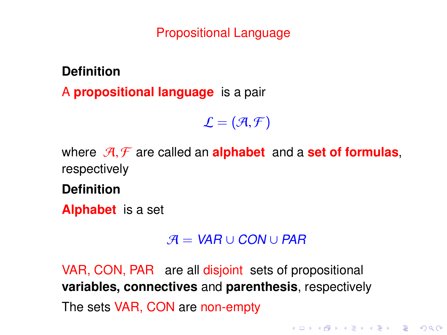#### Propositional Language

**Definition**

A **propositional language** is a pair

 $\mathcal{L} = (\mathcal{A}, \mathcal{F})$ 

where  $\mathcal{A}, \mathcal{F}$  are called an **alphabet** and a **set of formulas**, respectively

**Definition**

**Alphabet** is a set

 $A = VAR \cup CON \cup PAR$ 

**KORK EXTERNE PROVIDE** 

VAR, CON, PAR are all disjoint sets of propositional **variables, connectives** and **parenthesis**, respectively The sets VAR, CON are non-empty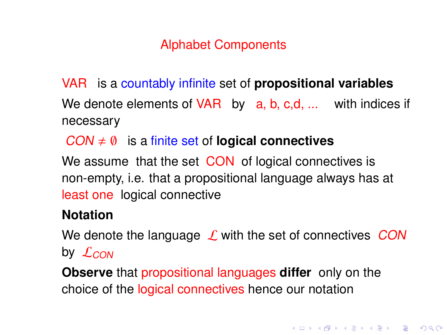### Alphabet Components

- <span id="page-5-0"></span>VAR is a countably infinite set of **propositional variables** We denote elements of VAR by a, b, c,d, ... with indices if necessary
	- $COM \neq \emptyset$  is a finite set of **logical connectives**

We assume that the set CON of logical connectives is non-empty, i.e. that a propositional language always has at least one logical connective

#### **Notation**

We denote the language  $\mathcal L$  with the set of connectives CON by  $\mathcal{L}_{CON}$ 

**Observe** that propositional languages **differ** only on the choice of the logical connectives hence our notation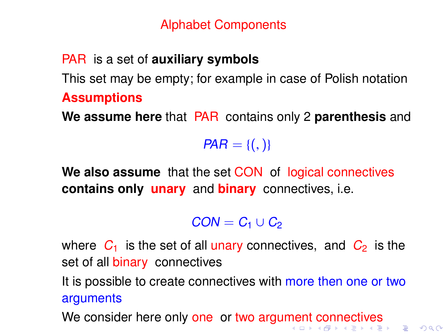### Alphabet Components

# <span id="page-6-0"></span>PAR is a set of **auxiliary symbols**

This set may be empty; for example in case of Polish notation **Assumptions**

**We assume here** that PAR contains only 2 **parenthesis** and

 $PAR = \{(),\}$ 

**We also assume** that the set CON of logical connectives **contains only unary** and **binary** connectives, i.e.

 $CON = C<sub>1</sub> \cup C<sub>2</sub>$ 

where  $C_1$  is the set of all unary connectives, and  $C_2$  is the set of all binary connectives

It is possible to create connectives with more then one or two arguments

We consider here only one or two argu[me](#page-5-0)[nt](#page-7-0) [c](#page-5-0)[on](#page-6-0)[n](#page-7-0)[e](#page-0-0)[cti](#page-94-0)[ve](#page-0-0)[s](#page-94-0)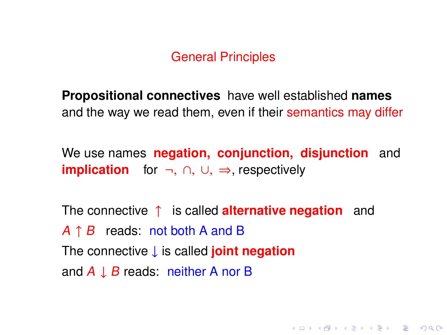#### General Principles

<span id="page-7-0"></span>**Propositional connectives** have well established **names** and the way we read them, even if their semantics may differ

We use names **negation, conjunction, disjunction** and **implication** for ¬, ∩, ∪, ⇒, respectively

The connective ↑ is called **alternative negation** and  $A \uparrow B$  reads: not both A and B The connective ↓ is called **joint negation** and  $A \perp B$  reads: neither A nor B

**KORK EXTERNE PROVIDE**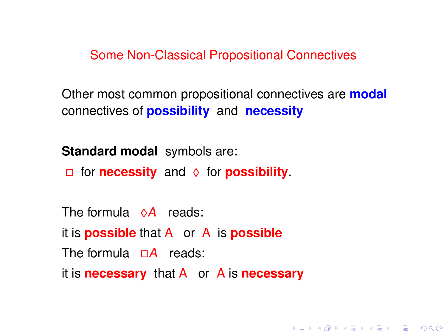Some Non-Classical Propositional Connectives

Other most common propositional connectives are **modal** connectives of **possibility** and **necessity**

**KORK EXTERNE PROVIDE** 

**Standard modal** symbols are:

for **necessity** and ♦ for **possibility**.

The formula  $\Diamond A$  reads: it is **possible** that A or A is **possible** The formula  $\Box A$  reads: it is **necessary** that A or A is **necessary**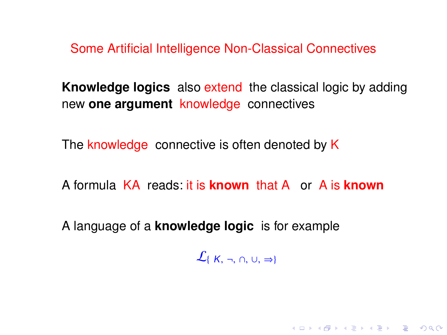Some Artificial Intelligence Non-Classical Connectives

**Knowledge logics** also extend the classical logic by adding new **one argument** knowledge connectives

The knowledge connective is often denoted by K

A formula KA reads: it is **known** that A or A is **known**

A language of a **knowledge logic** is for example

 $\mathcal{L}_{\{K, \neg, \cap, \cup, \Rightarrow\}}$ 

KO KA (DIKKE) KE KO BI YOKO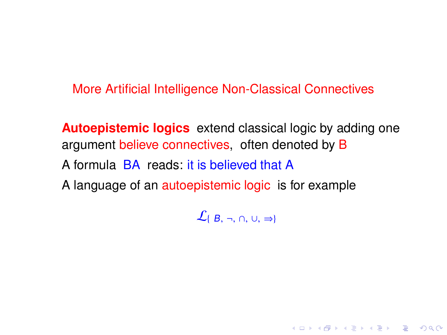More Artificial Intelligence Non-Classical Connectives

**Autoepistemic logics** extend classical logic by adding one argument believe connectives, often denoted by B A formula BA reads: it is believed that A A language of an autoepistemic logic is for example

 $\mathcal{L}_{\{B,\neg, \cap, \cup, \Rightarrow\}}$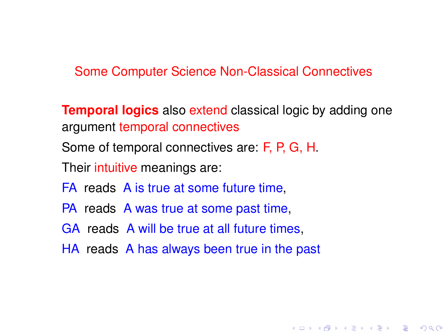Some Computer Science Non-Classical Connectives

**Temporal logics** also extend classical logic by adding one argument temporal connectives

**KORK EXTERNE PROVIDE** 

Some of temporal connectives are: F, P, G, H.

Their intuitive meanings are:

FA reads A is true at some future time,

PA reads A was true at some past time,

GA reads A will be true at all future times,

HA reads A has always been true in the past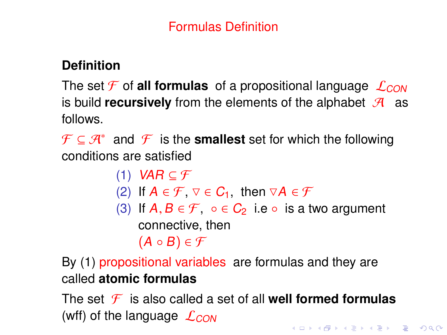### Formulas Definition

### **Definition**

The set  $\mathcal F$  of **all formulas** of a propositional language  $\mathcal L_{CON}$ is build **recursively** from the elements of the alphabet  $\mathcal{A}$  as follows.

 $\mathcal{F} \subseteq \mathcal{A}^*$  and  $\mathcal{F}$  is the **smallest** set for which the following conditions are satisfied

> (1) VAR  $\subset \mathcal{F}$ (2) If  $A \in \mathcal{F}$  ,  $\triangledown \in C_1$ , then  $\triangledown A \in \mathcal{F}$ (3) If  $A, B \in \mathcal{F}$ , ∘∈  $C_2$  i.e ∘ is a two argument connective, then  $(A \circ B) \in \mathcal{F}$

By (1) propositional variables are formulas and they are called **atomic formulas**

The set  $\mathcal{F}$  is also called a set of all **well formed formulas** (wff) of the language  $\mathcal{L}_{CON}$ **KORKAPRA ER ET AQO**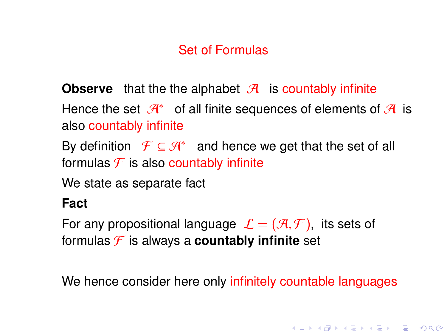# Set of Formulas

**Observe** that the the alphabet  $\mathcal{A}$  is countably infinite

Hence the set  $\mathcal{A}^*$  of all finite sequences of elements of  $\mathcal{A}$  is also countably infinite

By definition  $\mathcal{F} \subseteq \mathcal{A}^*$  and hence we get that the set of all formulas  $\mathcal F$  is also countably infinite

We state as separate fact

### **Fact**

For any propositional language  $\mathcal{L} = (\mathcal{A}, \mathcal{F})$ , its sets of formulas  $\mathcal F$  is always a **countably infinite** set

We hence consider here only infinitely countable languages

**KORK EXTERNE PROVIDE**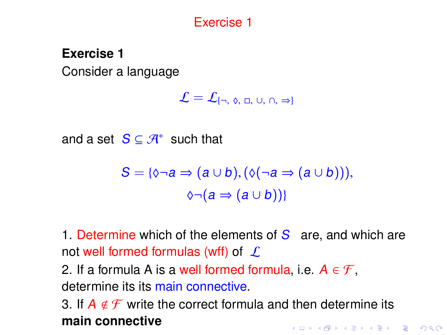### Exercise 1

### **Exercise 1**

Consider a language

$$
\mathcal{L}=\mathcal{L}_{\{\neg,\ \varphi,\ \Box,\ \cup,\ \cap,\ \Rightarrow\}}
$$

and a set  $S \subseteq \mathcal{A}^*$  such that

$$
S = \{ \lozenge \neg a \Rightarrow (a \cup b), (\lozenge(\neg a \Rightarrow (a \cup b))), \\ \lozenge \neg (a \Rightarrow (a \cup b)) \}
$$

1. Determine which of the elements of  $S$  are, and which are not well formed formulas (wff) of  $\mathcal L$ 

2. If a formula A is a well formed formula, i.e.  $A \in \mathcal{F}$ , determine its its main connective.

3. If  $A \notin \mathcal{F}$  write the correct formula and then determine its **main connective**KELK KØLK VELKEN EL 1990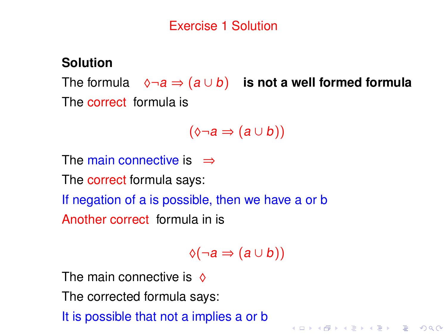### **Solution**

The formula  $\Diamond \neg a \Rightarrow (a \cup b)$  **is not a well formed formula** The correct formula is

$$
(\Diamond \neg a \Rightarrow (a \cup b))
$$

The main connective is  $\Rightarrow$ 

The correct formula says:

If negation of a is possible, then we have a or b

Another correct formula in is

 $\Diamond(\neg a \Rightarrow (a \cup b))$ 

**KORKA EXTER LONG** 

The main connective is  $\Diamond$ 

The corrected formula says:

It is possible that not a implies a or b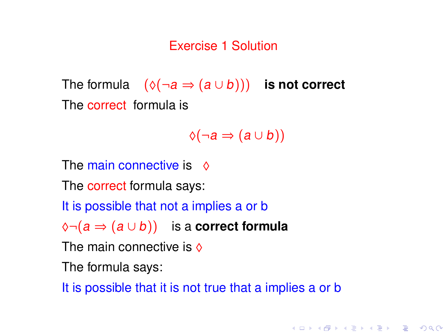### Exercise 1 Solution

The formula  $(\Diamond(\neg a \Rightarrow (a \cup b)))$  **is not correct** The correct formula is

 $\Diamond(\neg a \Rightarrow (a \cup b))$ 

**KORKA EXTER LONG** 

The main connective is  $\Diamond$ 

The correct formula says:

It is possible that not a implies a or b

♦¬(a ⇒ (a ∪ b)) is a **correct formula**

The main connective is  $\Diamond$ 

The formula says:

It is possible that it is not true that a implies a or b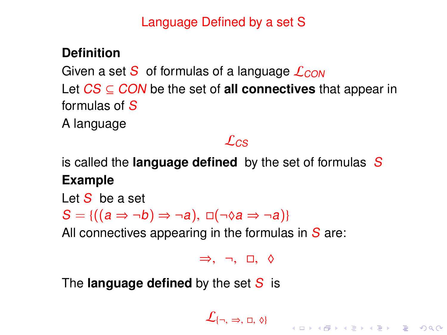Language Defined by a set S

### **Definition**

Given a set S of formulas of a language  $\mathcal{L}_{CON}$ Let CS ⊆ CON be the set of **all connectives** that appear in formulas of S

A language

# $\mathcal{L}_{CS}$

is called the **language defined** by the set of formulas S **Example**

Let  $S$  be a set

 $S = \{((a \Rightarrow \neg b) \Rightarrow \neg a), \Box(\neg \Diamond a \Rightarrow \neg a)\}$ 

All connectives appearing in the formulas in  $S$  are:

<sup>⇒</sup>, <sup>¬</sup>, , ♦

The **language defined** by the set S is

 $\mathcal{L}\{\neg, \Rightarrow, \Box, \Diamond\}$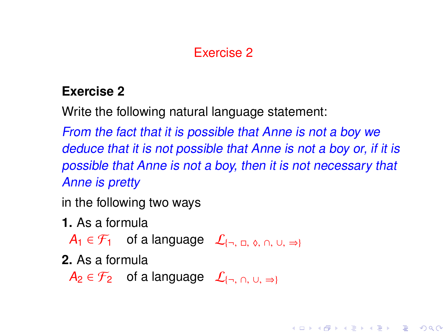# Exercise 2

### **Exercise 2**

Write the following natural language statement:

From the fact that it is possible that Anne is not a boy we deduce that it is not possible that Anne is not a boy or, if it is possible that Anne is not a boy, then it is not necessary that Anne is pretty

**KORKA EXTER LONG** 

in the following two ways

**1.** As a formula

 $A_1 \in \mathcal{F}_1$  of a language  $\mathcal{L}_{\{\neg, \Box, \Diamond, \Box, \cup, \Rightarrow\}}$ 

**2.** As a formula

 $A_2 \in \mathcal{F}_2$  of a language  $\mathcal{L}_{\{\neg, \bigcap, \bigcup, \Rightarrow\}}$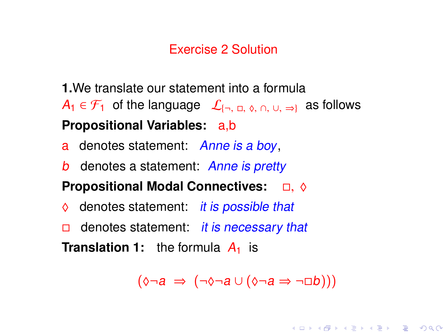#### Exercise 2 Solution

- **1.**We translate our statement into a formula  $A_1 \in \mathcal{F}_1$  of the language  $\mathcal{L}_{\{\neg, \Box, \Diamond, \Box, \Diamond, \Box\}}$  as follows **Propositional Variables:** a,b
- a denotes statement: Anne is a boy,
- **b** denotes a statement: Anne is pretty

#### **Propositional Modal Connectives:**  $\Box$ ,  $\diamond$

- denotes statement: *it is possible that*
- denotes statement: *it is necessary that*

**Translation 1:** the formula  $A_1$  is

 $(\Diamond \neg a \Rightarrow (\neg \Diamond \neg a \cup (\Diamond \neg a \Rightarrow \neg \Box b)))$ 

**KORKA EXTER LONG**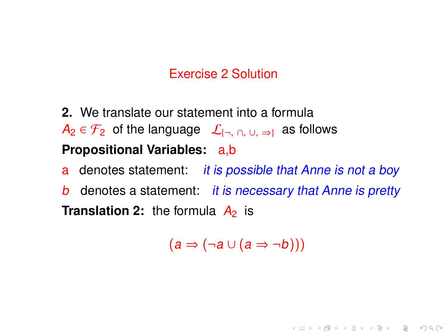### Exercise 2 Solution

**2.** We translate our statement into a formula  $A_2 \in \mathcal{F}_2$  of the language  $\mathcal{L}_{\{\neg, \bigcap_{i=1}^n U_i \Rightarrow \emptyset\}}$  as follows **Propositional Variables:** a,b

a denotes statement: it is possible that Anne is not a boy

**b** denotes a statement: *it is necessary that Anne is pretty* **Translation 2:** the formula  $\overline{A_2}$  is

 $(a \Rightarrow (\neg a \cup (a \Rightarrow \neg b)))$ 

**KORKA EXTER LONG**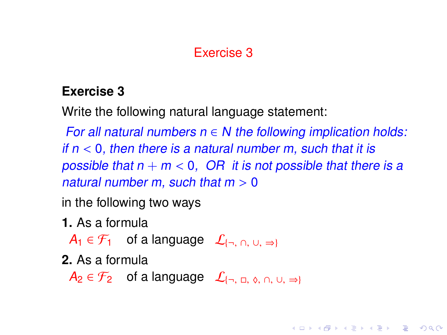### Exercise 3

### **Exercise 3**

Write the following natural language statement:

For all natural numbers  $n \in N$  the following implication holds: if  $n < 0$ , then there is a natural number m, such that it is possible that  $n + m < 0$ , OR it is not possible that there is a natural number m, such that  $m > 0$ 

**KORKA EXTER LONG** 

in the following two ways

**1.** As a formula

 $A_1 \in \mathcal{F}_1$  of a language  $\mathcal{L}_{\{\neg, \neg, \cup, \neg\}}$ 

**2.** As a formula

 $A_2 \in \mathcal{F}_2$  of a language  $\mathcal{L}_{\{\neg, \Box, \Diamond, \Box, \cup, \Rightarrow\}}$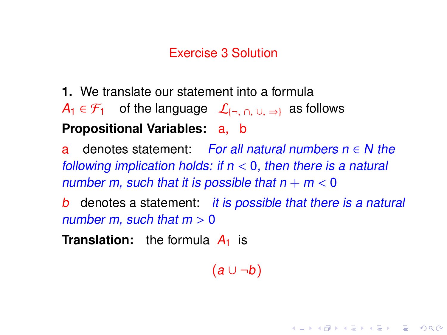#### Exercise 3 Solution

**1.** We translate our statement into a formula  $A_1 \in \mathcal{F}_1$  of the language  $\mathcal{L}_{\{\neg, \vartriangle\}}$  as follows **Propositional Variables:** a, b

a denotes statement: For all natural numbers  $n \in N$  the following implication holds: if  $n < 0$ , then there is a natural number m, such that it is possible that  $n + m < 0$ 

b denotes a statement: it is possible that there is a natural number m, such that  $m > 0$ 

**Translation:** the formula  $A_1$  is

 $(a \cup \neg b)$ 

**KORKA EXTER LONG**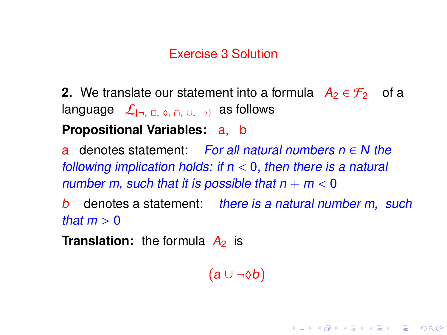#### Exercise 3 Solution

**2.** We translate our statement into a formula  $A_2 \in \mathcal{F}_2$  of a language  $\mathcal{L}_{\{\neg, \varpi, \varphi, \varphi\}}$  as follows

#### **Propositional Variables:** a, b

denotes statement: For all natural numbers  $n \in N$  the following implication holds: if  $n < 0$ , then there is a natural number m, such that it is possible that  $n + m < 0$ <br>b denotes a statement: there is a natural nun

denotes a statement: there is a natural number m, such that  $m > 0$ 

**Translation:** the formula  $A_2$  is

 $(a \cup \neg \lozenge b)$ 

**KORKA EXTER LONG**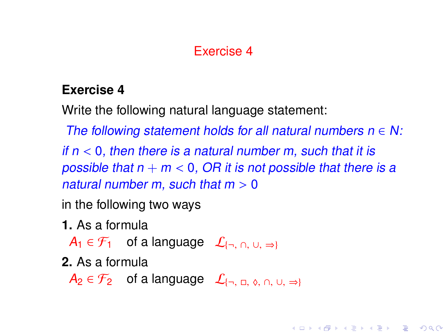### Exercise 4

### **Exercise 4**

Write the following natural language statement:

The following statement holds for all natural numbers  $n \in N$ :

if  $n < 0$ , then there is a natural number m, such that it is possible that  $n + m < 0$ . OR it is not possible that there is a natural number m, such that  $m > 0$ 

**KORKA EXTER LONG** 

in the following two ways

**1.** As a formula

 $A_1 \in \mathcal{F}_1$  of a language  $\mathcal{L}_{\{\neg, \bigcap_{i=1}^n U_i \Rightarrow \varnothing\}}$ 

**2.** As a formula

 $A_2 \in \mathcal{F}_2$  of a language  $\mathcal{L}_{\{\neg, \Box, \Diamond, \Box, \cup, \Rightarrow\}}$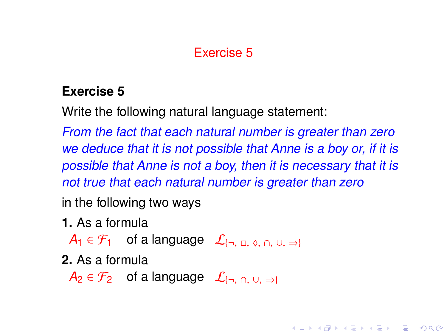### Exercise 5

### **Exercise 5**

Write the following natural language statement:

From the fact that each natural number is greater than zero we deduce that it is not possible that Anne is a boy or, if it is possible that Anne is not a boy, then it is necessary that it is not true that each natural number is greater than zero

**KORKAPRA ER EL POLO** 

in the following two ways

**1.** As a formula

 $A_1 \in \mathcal{F}_1$  of a language  $\mathcal{L}_{\{\neg, \Box, \Diamond, \Diamond, \Box\} \Rightarrow \Diamond}$ 

**2.** As a formula

 $A_2 \in \mathcal{F}_2$  of a language  $\mathcal{L}_{\{\neg, \bigcap, \bigcup, \Rightarrow\}}$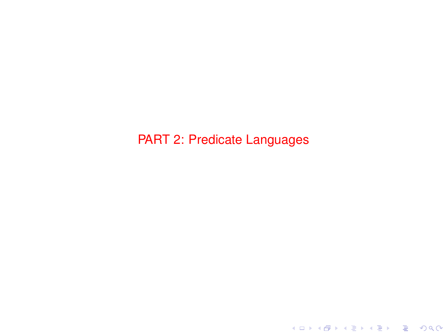PART 2: Predicate Languages

K ロ ▶ K @ ▶ K 할 ▶ K 할 ▶ . 할 . ⊙ Q Q\*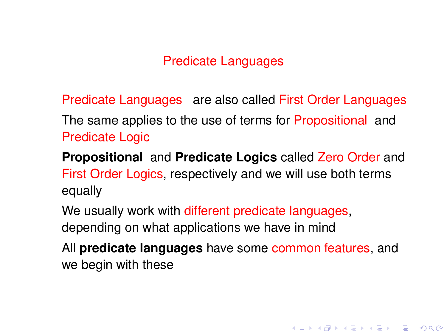#### Predicate Languages

Predicate Languages are also called First Order Languages The same applies to the use of terms for Propositional and Predicate Logic

**Propositional** and **Predicate Logics** called Zero Order and First Order Logics, respectively and we will use both terms equally

We usually work with different predicate languages, depending on what applications we have in mind

All **predicate languages** have some common features, and we begin with these

K ロ K K 레 K K 리 X X 리 X 리 코 X Y Q Q O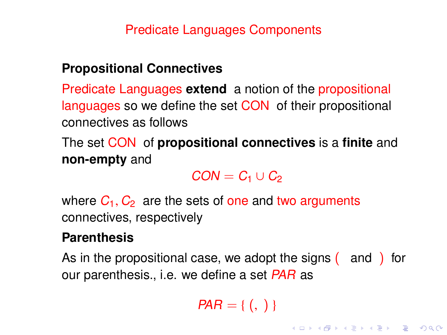### **Propositional Connectives**

Predicate Languages **extend** a notion of the propositional languages so we define the set CON of their propositional connectives as follows

The set CON of **propositional connectives** is a **finite** and **non-empty** and

 $CON = C_1 \cup C_2$ 

where  $C_1$ ,  $C_2$  are the sets of one and two arguments connectives, respectively

#### **Parenthesis**

As in the propositional case, we adopt the signs (and ) for our parenthesis., i.e. we define a set PAR as

 $PAR = \{ (, ) \}$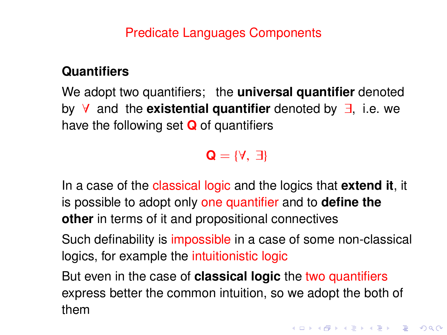### **Quantifiers**

We adopt two quantifiers; the **universal quantifier** denoted by ∀ and the **existential quantifier** denoted by ∃, i.e. we have the following set **Q** of quantifiers

### $Q = \{Y, \exists\}$

In a case of the classical logic and the logics that **extend it**, it is possible to adopt only one quantifier and to **define the other** in terms of it and propositional connectives

Such definability is impossible in a case of some non-classical logics, for example the intuitionistic logic

But even in the case of **classical logic** the two quantifiers express better the common intuition, so we adopt the both of them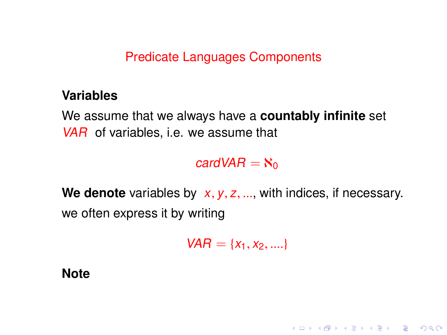#### **Variables**

We assume that we always have a **countably infinite** set VAR of variables, i.e. we assume that

### cardVAR  $=$   $\aleph_0$

We denote variables by x, y, z, ..., with indices, if necessary. we often express it by writing

 $VAR = \{x_1, x_2, ...\}$ 

KELK KØLK VELKEN EL 1990

**Note**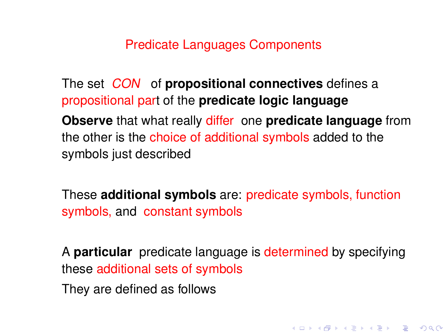The set CON of **propositional connectives** defines a propositional part of the **predicate logic language**

**Observe** that what really differ one **predicate language** from the other is the choice of additional symbols added to the symbols just described

These **additional symbols** are: predicate symbols, function symbols, and constant symbols

A **particular** predicate language is determined by specifying these additional sets of symbols

**KORK EXTERNE PROVIDE** 

They are defined as follows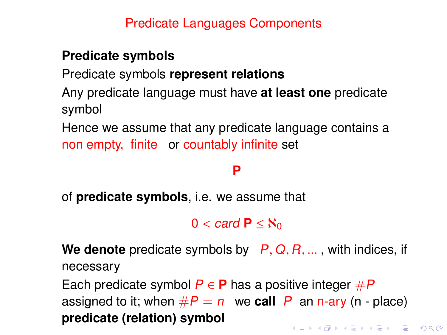### **Predicate symbols**

Predicate symbols **represent relations**

Any predicate language must have **at least one** predicate symbol

Hence we assume that any predicate language contains a non empty, finite or countably infinite set

# **P**

of **predicate symbols**, i.e. we assume that

 $0 <$  card  $P <$   $\aleph_0$ 

**We denote** predicate symbols by <sup>P</sup>, <sup>Q</sup>, <sup>R</sup>, ... , with indices, if necessary

Each predicate symbol  $P \in \mathbf{P}$  has a positive integer  $\#P$ assigned to it; when  $\#P = n$  we **call** P an n-ary (n - place) **predicate (relation) symbolKORKAPRA ER ET AQO**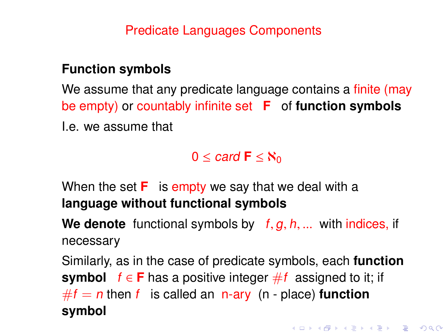#### **Function symbols**

We assume that any predicate language contains a finite (may be empty) or countably infinite set **F** of **function symbols** I.e. we assume that

### $0 <$  card  $\mathbf{F} < \aleph_0$

When the set **F** is empty we say that we deal with a **language without functional symbols**

We denote functional symbols by  $f, g, h, ...$  with indices, if necessary

Similarly, as in the case of predicate symbols, each **function symbol**  $f \in F$  has a positive integer  $#f$  assigned to it; if  $#f = n$  then f is called an n-ary (n - place) **function symbol**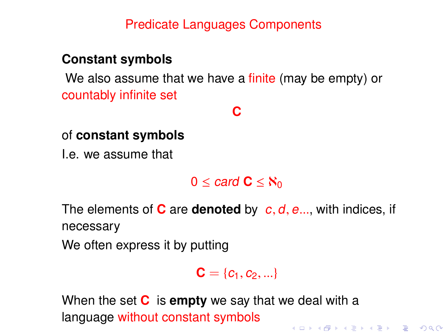#### **Constant symbols**

We also assume that we have a finite (may be empty) or countably infinite set

#### **C**

#### of **constant symbols**

I.e. we assume that

 $0 \leq$  card  $C \leq$   $\aleph_0$ 

The elements of **<sup>C</sup>** are **denoted** by <sup>c</sup>, <sup>d</sup>, <sup>e</sup>..., with indices, if necessary

We often express it by putting

 $C = \{c_1, c_2, ...\}$ 

When the set **C** is **empty** we say that we deal with a language without constant symbols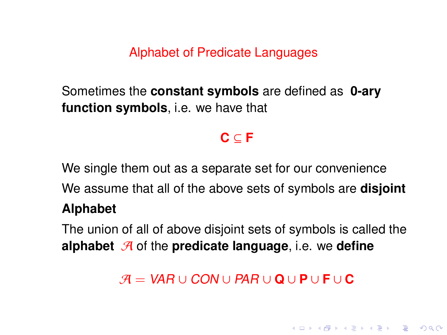Alphabet of Predicate Languages

Sometimes the **constant symbols** are defined as **0-ary function symbols**, i.e. we have that

# **C** ⊆ **F**

We single them out as a separate set for our convenience We assume that all of the above sets of symbols are **disjoint Alphabet**

The union of all of above disjoint sets of symbols is called the **alphabet** A of the **predicate language**, i.e. we define

A = VAR ∪ CON ∪ PAR ∪ **Q** ∪ **P** ∪ **F** ∪ **C**

**KORK EXTERNE PROVIDE**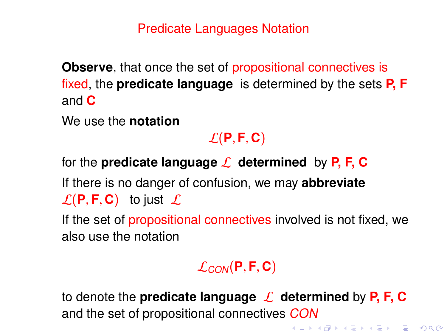Predicate Languages Notation

**Observe**, that once the set of propositional connectives is fixed, the **predicate language** is determined by the sets **P, F** and **C**

We use the **notation**

## $\mathcal{L}(\mathbf{P}, \mathbf{F}, \mathbf{C})$

for the **predicate language**  $\mathcal{L}$  determined by **P**, **F**, **C** 

If there is no danger of confusion, we may **abbreviate**  $\mathcal{L}(\mathsf{P},\mathsf{F},\mathsf{C})$  to just  $\mathcal{L}$ 

If the set of propositional connectives involved is not fixed, we also use the notation

## $\mathcal{L}_{CON}$ (P, F, C)

to denote the **predicate language** L **determined** by **P, F, C** and the set of propositional connectives CON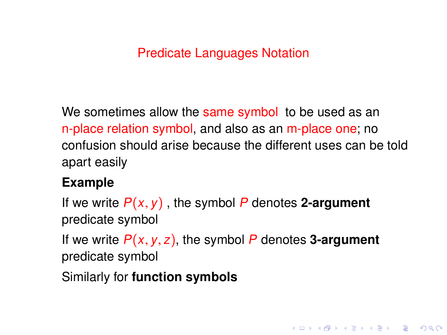## Predicate Languages Notation

We sometimes allow the same symbol to be used as an n-place relation symbol, and also as an m-place one; no confusion should arise because the different uses can be told apart easily

## **Example**

If we write  $P(x, y)$ , the symbol P denotes 2-argument predicate symbol

If we write  $P(x, y, z)$ , the symbol P denotes **3-argument** predicate symbol

**KORKA EXTER I DAR** 

Similarly for **function symbols**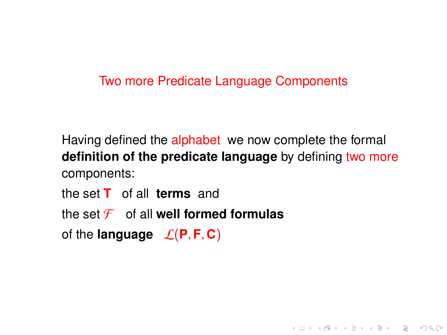#### Two more Predicate Language Components

Having defined the alphabet we now complete the formal **definition of the predicate language** by defining two more components:

**KORK EXTERNE PROVIDE** 

the set **T** of all **terms** and the set  $\mathcal F$  of all **well formed formulas** of the **language**  $\mathcal{L}(\mathbf{P}, \mathbf{F}, \mathbf{C})$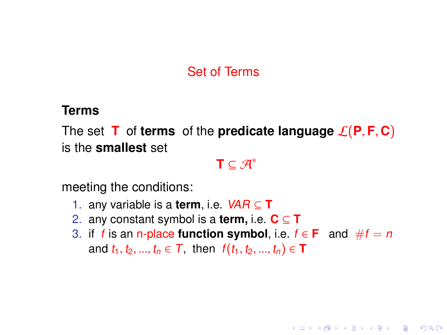## Set of Terms

#### **Terms**

The set **T** of **terms** of the **predicate language**  $\mathcal{L}(\mathbf{P}, \mathbf{F}, \mathbf{C})$ is the **smallest** set

 $\mathbf{T} \subseteq \mathcal{A}^*$ 

meeting the conditions:

- 1. any variable is a **term**, i.e. VAR ⊆ **T**
- 2. any constant symbol is a **term,** i.e. **C** ⊆ **T**
- 3. if f is an n-place **function symbol**, i.e.  $f \in \mathbf{F}$  and  $\#f = n$ and  $t_1, t_2, ..., t_n \in T$ , then  $f(t_1, t_2, ..., t_n) \in T$

**KORKA EXTER I DAR**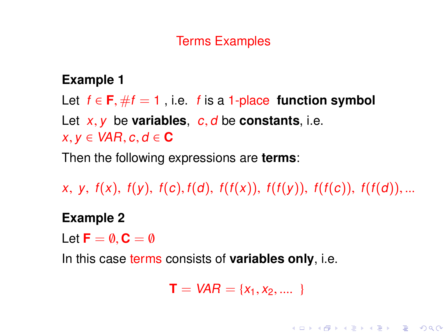## Terms Examples

## **Example 1**

Let  $f \in \mathbf{F}$ ,  $\# f = 1$ , i.e. f is a 1-place **function symbol** Let  $x, y$  be **variables**,  $c, d$  be **constants**, i.e.  $x, y \in \text{VAR}, c, d \in \mathbf{C}$ 

Then the following expressions are **terms**:

x, y,  $f(x)$ ,  $f(y)$ ,  $f(c)$ ,  $f(d)$ ,  $f(f(x))$ ,  $f(f(y))$ ,  $f(f(c))$ ,  $f(f(d))$ ,...

#### **Example 2**

Let  $\mathbf{F} = \emptyset$ ,  $\mathbf{C} = \emptyset$ 

In this case terms consists of **variables only**, i.e.

$$
T = VAR = \{x_1, x_2, ....\}
$$

**KORKA EXTER I DAR**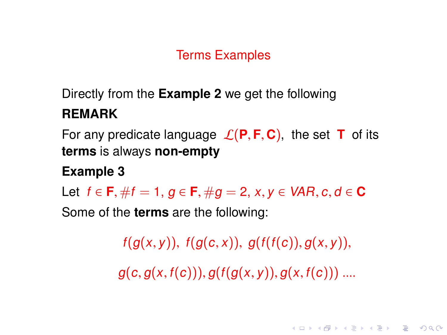## Terms Examples

# Directly from the **Example 2** we get the following **REMARK**

For any predicate language  $\mathcal{L}(\mathbf{P}, \mathbf{F}, \mathbf{C})$ , the set **T** of its **terms** is always **non-empty**

## **Example 3**

Let  $f \in \mathbf{F}$ ,  $\#f = 1$ ,  $g \in \mathbf{F}$ ,  $\#g = 2$ ,  $x, y \in \text{VAR}$ ,  $c, d \in \mathbf{C}$ 

Some of the **terms** are the following:

 $f(g(x, y)), f(g(c, x)), g(f(f(c)), g(x, y)),$ 

 $g(c, g(x, f(c))), g(f(g(x, y)), g(x, f(c)))$  ....

**KORK EXTERNE PROVIDE**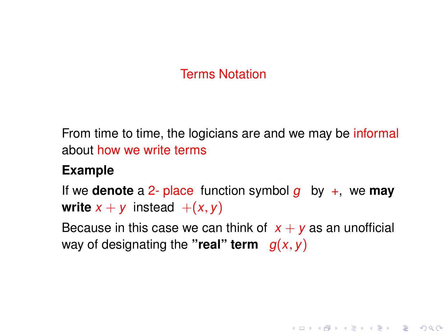## Terms Notation

From time to time, the logicians are and we may be informal about how we write terms

#### **Example**

If we **denote** a 2- place function symbol  $q$  by  $+$ , we **may write**  $x + y$  instead  $+(x, y)$ 

Because in this case we can think of  $x + y$  as an unofficial way of designating the "real" term  $g(x, y)$ 

**KORKA EXTER I DAR**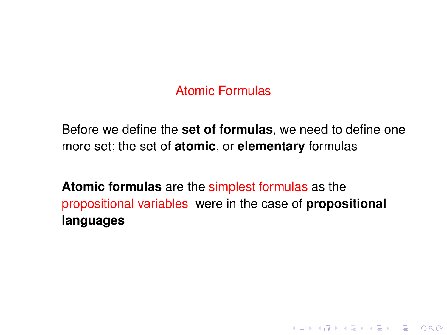## Atomic Formulas

Before we define the **set of formulas**, we need to define one more set; the set of **atomic**, or **elementary** formulas

**Atomic formulas** are the simplest formulas as the propositional variables were in the case of **propositional languages**

**KORK EXTERNE PROVIDE**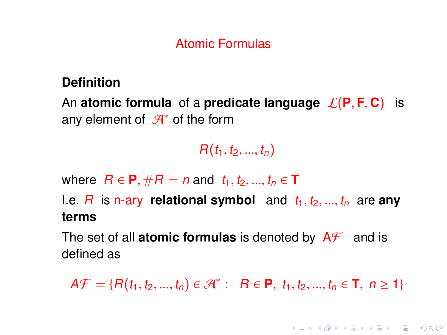## Atomic Formulas

#### **Definition**

An **atomic formula** of a **predicate language**  $\mathcal{L}(P, F, C)$  is any element of  $\mathcal{A}^*$  of the form

 $R(t_1, t_2, ..., t_n)$ 

where  $R \in \mathbf{P}, \#R = n$  and  $t_1, t_2, ..., t_n \in \mathbf{T}$ 

I.e.  $R$  is n-ary **relational symbol** and  $t_1, t_2, ..., t_n$  are any **terms**

The set of all **atomic formulas** is denoted by  $A\mathcal{F}$  and is defined as

 $A\mathcal{F} = \{H(t_1, t_2, ..., t_n) \in \mathcal{A}^* : \quad R \in \mathbf{P}, t_1, t_2, ..., t_n \in \mathbf{T}, n \geq 1\}$ 

**KORKAPRASHASH SHOAC**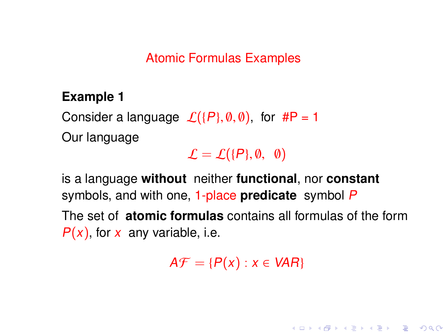Atomic Formulas Examples

#### **Example 1**

Consider a language  $\mathcal{L}(\{P\}, \emptyset, \emptyset)$ , for #P = 1 Our language

 $\mathcal{L} = \mathcal{L}(\{P\}, \emptyset, \emptyset)$ 

is a language **without** neither **functional**, nor **constant** symbols, and with one, 1-place **predicate** symbol P The set of **atomic formulas** contains all formulas of the form  $P(x)$ , for x any variable, i.e.

 $A\mathcal{F} = \{P(x) : x \in VAR\}$ 

**KORKA EXTER I DAR**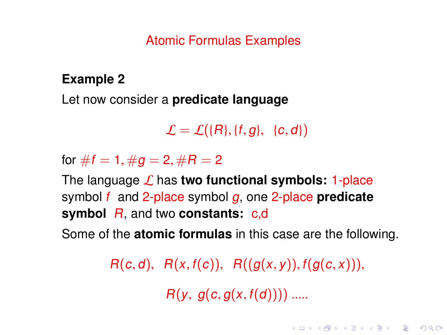#### Atomic Formulas Examples

### **Example 2**

Let now consider a **predicate language**

 $\mathcal{L} = \mathcal{L}(\lbrace R \rbrace, \lbrace f, g \rbrace, \lbrace c, d \rbrace)$ 

for  $\#f = 1, \#g = 2, \#R = 2$ 

The language L has **two functional symbols:** 1-place symbol f and 2-place symbol g, one 2-place **predicate symbol** R, and two **constants:** c,d

Some of the **atomic formulas** in this case are the following.

 $R(c, d), R(x, f(c)), R((g(x, y)), f(g(c, x))),$ 

 $R(y, g(c, g(x, f(d))))$  .....

**KORK EXTERNE PROVIDE**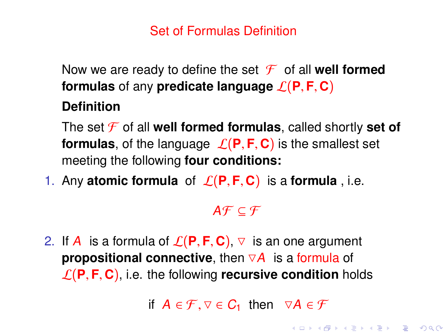## Set of Formulas Definition

Now we are ready to define the set  $\mathcal F$  of all **well formed formulas** of any **predicate language**  $\mathcal{L}(\mathbf{P}, \mathbf{F}, \mathbf{C})$ 

#### **Definition**

The set  $\mathcal F$  of all **well formed formulas**, called shortly **set of formulas**, of the language  $\mathcal{L}(P, F, C)$  is the smallest set meeting the following **four conditions:**

1. Any **atomic formula** of  $\mathcal{L}(P, F, C)$  is a **formula**, i.e.

## $A \mathcal{F} \subset \mathcal{F}$

2. If A is a formula of  $\mathcal{L}(\mathbf{P}, \mathbf{F}, \mathbf{C})$ ,  $\triangledown$  is an one argument **propositional connective**, then  $\nabla A$  is a formula of  $\mathcal{L}(\mathbf{P}, \mathbf{F}, \mathbf{C})$ , i.e. the following **recursive condition** holds

if  $A \in \mathcal{F}, \nabla \in C_1$  then  $\nabla A \in \mathcal{F}$ <br> $\Leftrightarrow$   $\Leftrightarrow$   $\Leftrightarrow$   $\Leftrightarrow$   $\Leftrightarrow$   $\Leftrightarrow$   $\Leftrightarrow$   $\Leftrightarrow$   $\Leftrightarrow$   $\Leftrightarrow$   $\Leftrightarrow$   $\Leftrightarrow$   $\Leftrightarrow$   $\Leftrightarrow$   $\Leftrightarrow$   $\Leftrightarrow$   $\Leftrightarrow$   $\Leftrightarrow$   $\Leftrightarrow$   $\Leftrightarrow$   $\Leftrightarrow$   $\Leftrightarrow$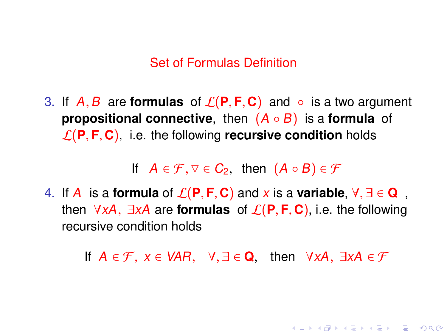#### Set of Formulas Definition

<span id="page-48-0"></span>3. If  $A, B$  are **formulas** of  $\mathcal{L}(P, F, C)$  and  $\circ$  is a two argument **propositional connective**, then (A ◦ B) is a **formula** of  $\mathcal{L}(\mathbf{P}, \mathbf{F}, \mathbf{C})$ , i.e. the following **recursive condition** holds

If  $A \in \mathcal{F}, \forall \in \mathcal{C}_2$ , then  $(A \circ B) \in \mathcal{F}$ 

4. If A is a **formula** of  $\mathcal{L}(\mathbf{P}, \mathbf{F}, \mathbf{C})$  and x is a **variable**,  $\forall$ ,  $\exists \in \mathbf{Q}$ , then <sup>∀</sup>xA, <sup>∃</sup>xA are **formulas** of <sup>L</sup>(**P**, **<sup>F</sup>**, **<sup>C</sup>**), i.e. the following recursive condition holds

If  $A \in \mathcal{F}$ ,  $x \in \text{VAR}$ ,  $\forall x \exists \in \mathbf{Q}$ , then  $\forall x A$ ,  $\exists x A \in \mathcal{F}$ 

**KORKAPRASHASH SHOAC**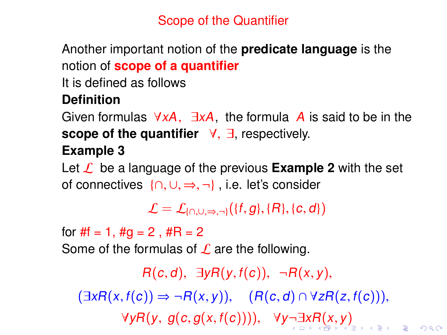## Scope of the Quantifier

<span id="page-49-0"></span>Another important notion of the **predicate language** is the notion of **scope of a quantifier**

It is defined as follows

## **Definition**

Given formulas  $\forall xA$ ,  $\exists xA$ , the formula A is said to be in the **scope of the quantifier** <sup>∀</sup>, <sup>∃</sup>, respectively. **Example 3**

Let  $\mathcal{L}$  be a language of the previous **Example 2** with the set of connectives {∩, <sup>∪</sup>, <sup>⇒</sup>, ¬} , i.e. let's consider

 $\mathcal{L} = \mathcal{L}_{\{0,1\} \Rightarrow \neg \mathcal{L}}(\{f, g\}, \{R\}, \{c, d\})$ 

for  $#f = 1, #g = 2, #R = 2$ 

Some of the formulas of  $\mathcal L$  are the following.

 $R(c, d)$ ,  $\exists y R(y, f(c))$ ,  $\neg R(x, y)$ ,  $(\exists xR(x, f(c)) \Rightarrow \neg R(x, y)), (R(c, d) \cap \forall zR(z, f(c))),$  $\forall yR(y, g(c, g(x, f(c))))$  $\forall yR(y, g(c, g(x, f(c))))$  $\forall yR(y, g(c, g(x, f(c))))$  $\forall yR(y, g(c, g(x, f(c))))$  $\forall yR(y, g(c, g(x, f(c))))$  $\forall yR(y, g(c, g(x, f(c))))$  $\forall yR(y, g(c, g(x, f(c))))$ [,](#page-50-0)  $\forall y \neg \exists xR(x, y)$  $\forall y \neg \exists xR(x, y)$  $\forall y \neg \exists xR(x, y)$  $\forall y \neg \exists xR(x, y)$  $\forall y \neg \exists xR(x, y)$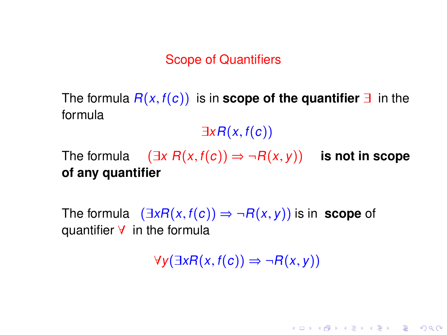#### Scope of Quantifiers

<span id="page-50-0"></span>The formula  $R(x, f(c))$  is in **scope of the quantifier**  $\exists$  in the formula

 $\exists x R(x, f(c))$ 

The formula  $(\exists x \ R(x, f(c)) \Rightarrow \neg R(x, y))$  **is not in scope of any quantifier**

The formula  $(\exists x R(x, f(c)) \Rightarrow \neg R(x, y))$  is in **scope** of quantifier ∀ in the formula

 $\forall y(\exists x R(x, f(c)) \Rightarrow \neg R(x, y))$ 

**KORKAPRA ERKER DAGA**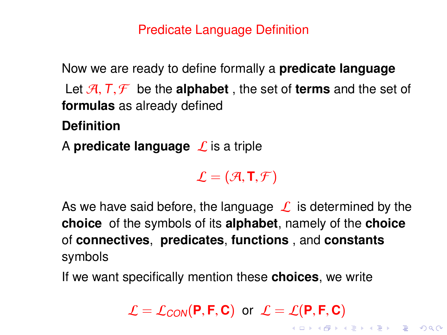## Predicate Language Definition

<span id="page-51-0"></span>Now we are ready to define formally a **predicate language**

Let  $\mathcal{A}, \mathcal{T}, \mathcal{F}$  be the **alphabet**, the set of **terms** and the set of **formulas** as already defined

**Definition**

A **predicate language**  $\mathcal{L}$  is a triple

 $\mathcal{L} = (\mathcal{A}, \mathbf{T}, \mathcal{F})$ 

As we have said before, the language  $\mathcal L$  is determined by the **choice** of the symbols of its **alphabet**, namely of the **choice** of **connectives**, **predicates**, **functions** , and **constants** symbols

If we want specifically mention these **choices**, we write

 $\mathcal{L} = \mathcal{L}_{CON}(\mathbf{P}, \mathbf{F}, \mathbf{C})$  $\mathcal{L} = \mathcal{L}_{CON}(\mathbf{P}, \mathbf{F}, \mathbf{C})$  $\mathcal{L} = \mathcal{L}_{CON}(\mathbf{P}, \mathbf{F}, \mathbf{C})$  or  $\mathcal{L} = \mathcal{L}(\mathbf{P}, \mathbf{F}, \mathbf{C})$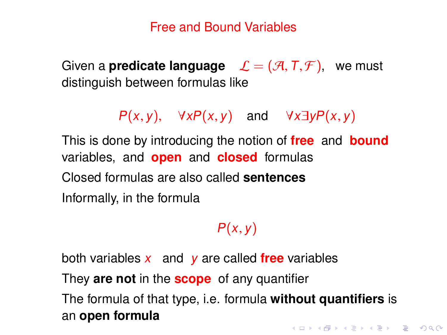#### Free and Bound Variables

<span id="page-52-0"></span>Given a **predicate language**  $\mathcal{L} = (\mathcal{A}, T, \mathcal{F})$ , we must distinguish between formulas like

 $P(x, y)$ ,  $\forall x P(x, y)$  and  $\forall x \exists y P(x, y)$ 

This is done by introducing the notion of **free** and **bound** variables, and **open** and **closed** formulas Closed formulas are also called **sentences** Informally, in the formula

## $P(x, y)$

both variables x and y are called **free** variables

They **are not** in the **scope** of any quantifier

The formula of that type, i.e. formula **without quantifiers** is an **open formula**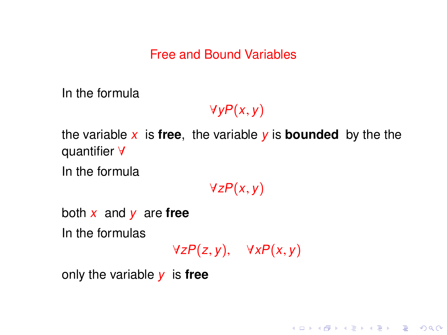#### Free and Bound Variables

In the formula

 $\forall y P(x, y)$ 

the variable  $x$  is **free**, the variable  $y$  is **bounded** by the the quantifier ∀

In the formula

 $\forall z P(x, y)$ 

both x and y are **free**

In the formulas

 $\forall z P(z, y), \quad \forall x P(x, y)$ 

K ロ ▶ K @ ▶ K 할 ▶ K 할 ▶ . 할 | K 9 Q Q

only the variable y is **free**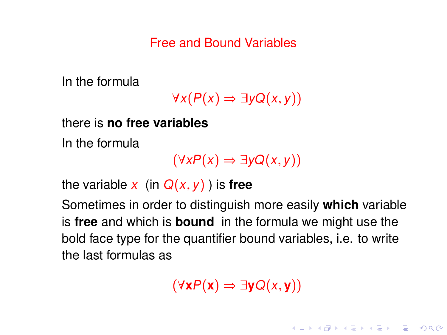Free and Bound Variables

In the formula

 $\forall x(P(x) \Rightarrow \exists y Q(x, y))$ 

there is **no free variables**

In the formula

 $(\forall x P(x) \Rightarrow \exists y Q(x, y))$ 

the variable x (in  $Q(x, y)$ ) is **free** 

Sometimes in order to distinguish more easily **which** variable is **free** and which is **bound** in the formula we might use the bold face type for the quantifier bound variables, i.e. to write the last formulas as

(∀**x**P(**x**) ⇒ ∃**y**Q(x, **<sup>y</sup>**))

**KORKA EXTER I DAR**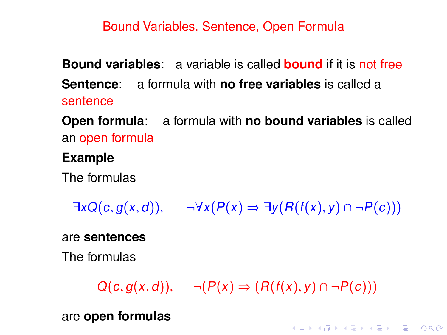#### Bound Variables, Sentence, Open Formula

**Bound variables**: a variable is called **bound** if it is not free **Sentence**: a formula with **no free variables** is called a sentence

**Open formula**: a formula with **no bound variables** is called an open formula

#### **Example**

The formulas

 $\exists x Q(c, q(x, d)), \quad \neg \forall x (P(x) \Rightarrow \exists y (R(f(x), y) \cap \neg P(c)))$ 

are **sentences**

The formulas

 $Q(c, q(x, d)), \neg (P(x) \Rightarrow (R(f(x), y) \cap \neg P(c)))$ 

**KORKAPRA ER ET AQO** 

are **open formulas**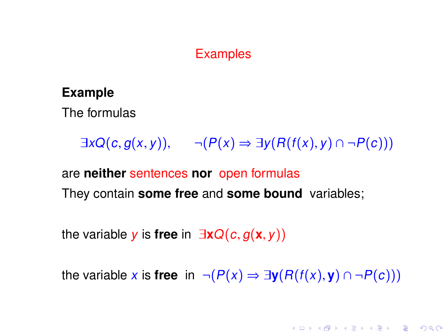#### **Examples**

#### **Example**

The formulas

 $\exists x Q(c, g(x, y)), \neg (P(x) \Rightarrow \exists y (R(f(x), y) \cap \neg P(c)))$ 

are **neither** sentences **nor** open formulas They contain **some free** and **some bound** variables;

the variable <sup>y</sup> is **free** in <sup>∃</sup>**x**Q(c, <sup>g</sup>(**x**, <sup>y</sup>))

the variable x is **free** in  $\neg (P(x) \Rightarrow \exists y (R(f(x), y) \cap \neg P(c)))$ 

**KORKA EXTER I DAR**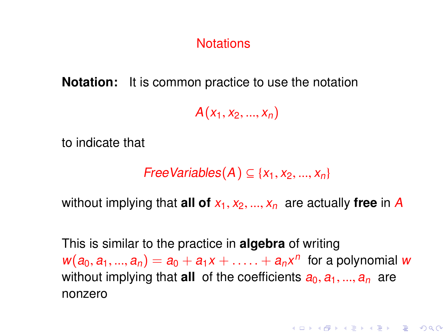#### **Notations**

**Notation:** It is common practice to use the notation

 $A(x_1, x_2, ..., x_n)$ 

to indicate that

 $FreeVariables(A) \subseteq \{x_1, x_2, ..., x_n\}$ 

without implying that **all of**  $x_1, x_2, ..., x_n$  are actually free in A

This is similar to the practice in **algebra** of writing  $w(a_0, a_1, ..., a_n) = a_0 + a_1x + ... + a_nx^n$  for a polynomial w<br>without implying that all of the coefficients  $a_0, a_1, ..., a_n$ without implying that **all** of the coefficients  $a_0, a_1, ..., a_n$  are nonzero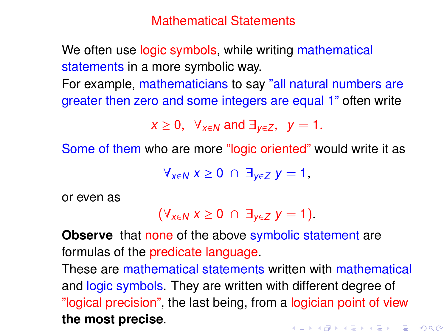Mathematical Statements

We often use logic symbols, while writing mathematical statements in a more symbolic way.

For example, mathematicians to say "all natural numbers are greater then zero and some integers are equal 1" often write

 $x \geq 0$ ,  $\forall_{x \in N}$  and  $\exists_{x \in Z}$ ,  $y = 1$ .

Some of them who are more "logic oriented" would write it as

 $\forall_{x\in N}$   $x \geq 0$   $\cap$   $\exists_{y\in Z}$   $y = 1$ ,

or even as

$$
(\forall_{x\in N} x\geq 0 \ \cap \ \exists_{y\in Z} y=1).
$$

**Observe** that none of the above symbolic statement are formulas of the predicate language.

These are mathematical statements written with mathematical and logic symbols. They are written with different degree of "logical precision", the last being, from a logician point of view **the most precise**.KID KA LI KED KE DA LI KA LI KA LI KA LI KA LI KA LI KA LI KA LI KA LI KA LI KA LI KA LI KA LI KA LI KA LI KA LI KA LI KA LI KA LI KA LI KA LI KA LI KA LI KA LI KA LI KA LI KA LI KA LI KA LI KA LI KA LI KA LI KA LI KA LI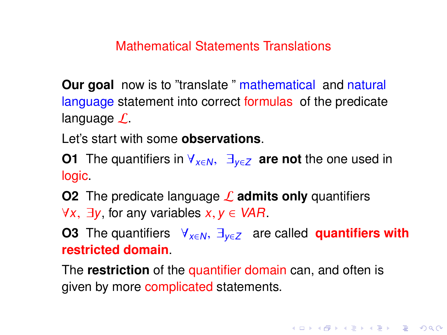Mathematical Statements Translations

**Our goal** now is to "translate" mathematical and natural language statement into correct formulas of the predicate language  $\mathcal{L}$ .

Let's start with some **observations**.

**O1** The quantifiers in  $\forall x \in \mathbb{N}$ ,  $\exists y \in \mathbb{Z}$  are not the one used in logic.

**O2** The predicate language **L** admits only quantifiers  $\forall x, \exists y$  for any variables  $x, y \in VAR$ .

**O3** The quantifiers  $\forall$ <sub>x∈N</sub>,  $\exists$ <sub>v∈Z</sub> are called **quantifiers with restricted domain**.

**KORKAPRA ER ET AQO** 

The **restriction** of the quantifier domain can, and often is given by more complicated statements.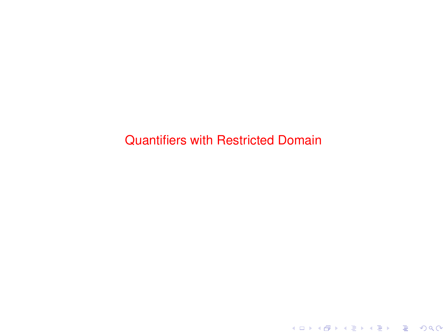Quantifiers with Restricted Domain

K ロ K K 레 K K ミ K K E K Y B K Y Q Q Q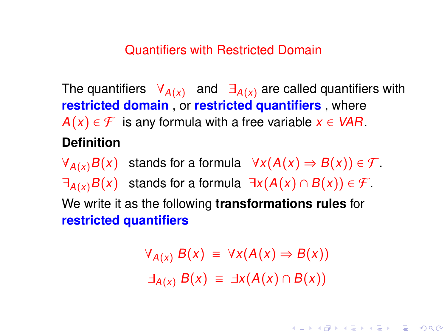#### Quantifiers with Restricted Domain

The quantifiers  $\forall_{A(x)}$  and  $\exists_{A(x)}$  are called quantifiers with **restricted domain** , or **restricted quantifiers** , where  $A(x) \in \mathcal{F}$  is any formula with a free variable  $x \in VAR$ . **Definition**

 $\forall_{A(x)} B(x)$  stands for a formula  $\forall x (A(x) \Rightarrow B(x)) \in \mathcal{F}$ .  $\exists_{A(x)}B(x)$  stands for a formula  $\exists x(A(x) \cap B(x)) \in \mathcal{F}$ . We write it as the following **transformations rules** for **restricted quantifiers**

> $\forall_{A(x)} B(x) \equiv \forall x (A(x) \Rightarrow B(x))$  $\exists_{A(x)} B(x) \equiv \exists x (A(x) \cap B(x))$

> > **KORKAPRA ER ET AQO**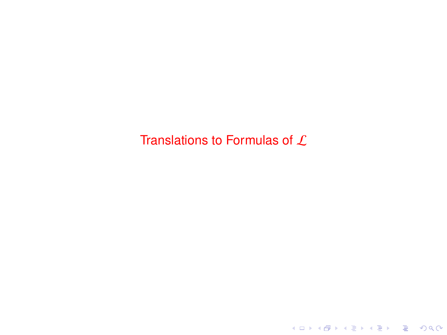## Translations to Formulas of  $L$

K ロ ▶ K @ ▶ K 할 ▶ K 할 ▶ 이 할 → 9 Q Q ·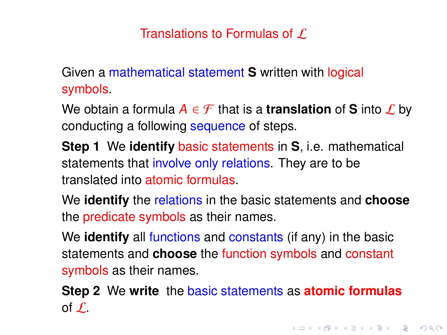## Translations to Formulas of  $\mathcal L$

Given a mathematical statement **S** written with logical symbols.

We obtain a formula  $A \in \mathcal{F}$  that is a **translation** of **S** into  $\mathcal{L}$  by conducting a following sequence of steps.

**Step 1** We **identify** basic statements in **S**, i.e. mathematical statements that involve only relations. They are to be translated into atomic formulas.

We **identify** the relations in the basic statements and **choose** the predicate symbols as their names.

We **identify** all functions and constants (if any) in the basic statements and **choose** the function symbols and constant symbols as their names.

**Step 2** We **write** the basic statements as **atomic formulas** of  $\mathcal{L}$ .

**KORKAPRA ER ET AQO**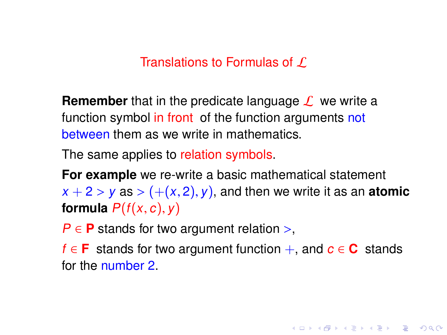#### Translations to Formulas of  $\Gamma$

**Remember** that in the predicate language  $\mathcal{L}$  we write a function symbol in front of the function arguments not between them as we write in mathematics.

The same applies to relation symbols.

**For example** we re-write a basic mathematical statement  $x + 2 > y$  as  $> (+(x, 2), y)$ , and then we write it as an **atomic formula**  $P(f(x, c), y)$ 

 $P \in \mathbf{P}$  stands for two argument relation >,

f ∈ **F** stands for two argument function +, and c ∈ **C** stands for the number 2.

**KORKA EXTER I DAR**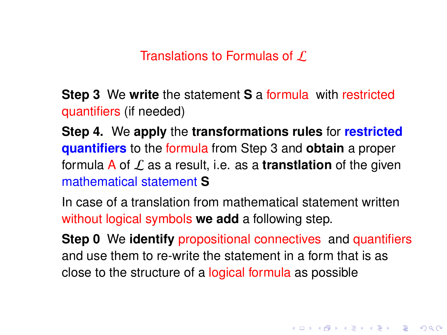Translations to Formulas of  $\Gamma$ 

**Step 3** We **write** the statement **S** a formula with restricted quantifiers (if needed)

**Step 4.** We **apply** the **transformations rules** for **restricted quantifiers** to the formula from Step 3 and **obtain** a proper formula A of L as a result, i.e. as a **transtlation** of the given mathematical statement **S**

In case of a translation from mathematical statement written without logical symbols **we add** a following step.

**Step 0** We **identify** propositional connectives and quantifiers and use them to re-write the statement in a form that is as close to the structure of a logical formula as possible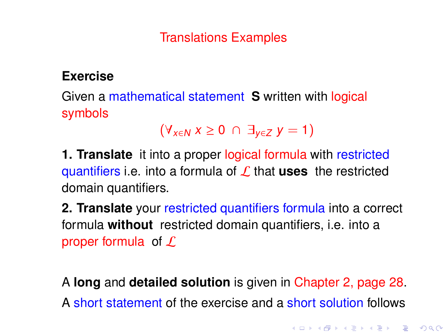## **Exercise**

Given a mathematical statement **S** written with logical symbols

$$
(\forall_{x\in N} x\geq 0 \ \cap \ \exists_{y\in Z} y=1)
$$

**1. Translate** it into a proper logical formula with restricted quantifiers i.e. into a formula of L that **uses** the restricted domain quantifiers.

**2. Translate** your restricted quantifiers formula into a correct formula **without** restricted domain quantifiers, i.e. into a proper formula of  $\mathcal L$ 

A **long** and **detailed solution** is given in Chapter 2, page 28. A short statement of the exercise and a short solution follows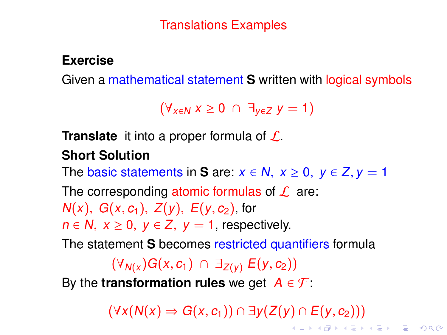#### <span id="page-67-0"></span>**Exercise**

Given a mathematical statement **S** written with logical symbols

 $(\forall_{x\in N} x \geq 0 \cap \exists_{y\in Z} y = 1)$ 

**Translate** it into a proper formula of L.

## **Short Solution**

The basic statements in **S** are:  $x \in N$ ,  $x \ge 0$ ,  $y \in Z$ ,  $y = 1$ 

The corresponding atomic formulas of  $\mathcal L$  are:  $N(x)$ ,  $G(x, c_1)$ ,  $Z(y)$ ,  $E(y, c_2)$ , for  $n \in \mathbb{N}, x \geq 0, y \in \mathbb{Z}, y = 1$ , respectively.

The statement **S** becomes restricted quantifiers formula

 $(\forall_{N(x}) G(x, c_1) \cap \exists_{Z(y)} E(y, c_2))$ 

By the **transformation rules** we get  $A \in \mathcal{F}$ :

 $(\forall x(N(x) \Rightarrow G(x, c_1)) \cap \exists y(Z(y) \cap E(y, c_2)))$  $(\forall x(N(x) \Rightarrow G(x, c_1)) \cap \exists y(Z(y) \cap E(y, c_2)))$  $(\forall x(N(x) \Rightarrow G(x, c_1)) \cap \exists y(Z(y) \cap E(y, c_2)))$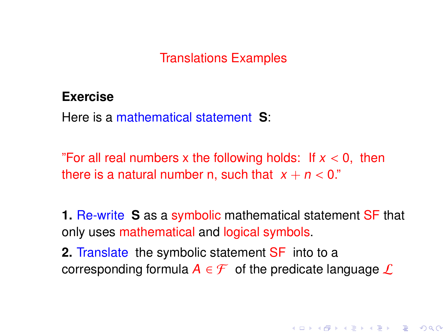#### <span id="page-68-0"></span>**Exercise**

Here is a mathematical statement **S**:

"For all real numbers x the following holds: If  $x < 0$ , then there is a natural number n, such that  $x + n < 0$ ."

**1.** Re-write **S** as a symbolic mathematical statement SF that only uses mathematical and logical symbols.

**2.** Translate the symbolic statement SF into to a corresponding formula  $A \in \mathcal{F}$  of the predicate language  $\mathcal{L}$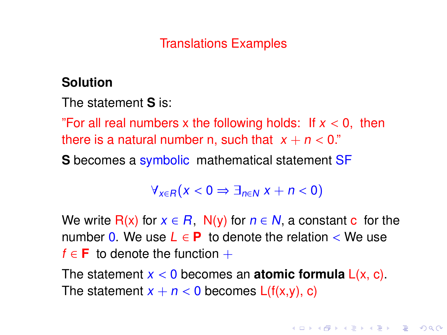## **Solution**

The statement **S** is:

"For all real numbers x the following holds: If  $x < 0$ , then there is a natural number n, such that  $x + n < 0$ ."

**S** becomes a symbolic mathematical statement SF

$$
\forall_{x\in R}(x<0\Rightarrow \exists_{n\in N} x+n<0)
$$

We write  $R(x)$  for  $x \in R$ ,  $N(y)$  for  $n \in N$ , a constant c for the number 0. We use  $L \in \mathbf{P}$  to denote the relation  $\lt$  We use  $f \in \mathbf{F}$  to denote the function  $+$ 

The statement  $x < 0$  becomes an **atomic formula**  $L(x, c)$ . The statement  $x + n < 0$  becomes  $L(f(x,y), c)$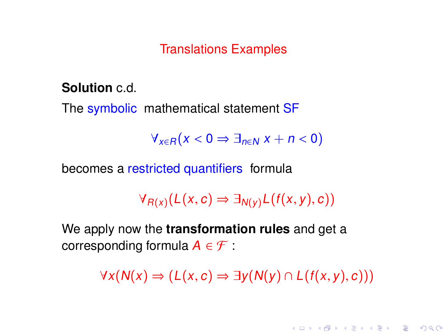**Solution** c.d.

The symbolic mathematical statement SF

 $\forall_{x \in R} (x < 0 \Rightarrow \exists_{n \in N} x + n < 0)$ 

becomes a restricted quantifiers formula

 $\forall_{R(x)}(L(x, c) \Rightarrow \exists_{N(y)}L(f(x, y), c))$ 

We apply now the **transformation rules** and get a corresponding formula  $A \in \mathcal{F}$ :

 $\forall x(N(x) \Rightarrow (L(x, c) \Rightarrow \exists y(N(y) \cap L(f(x, y), c)))$ 

**KORKAPRASHASH SHOAC**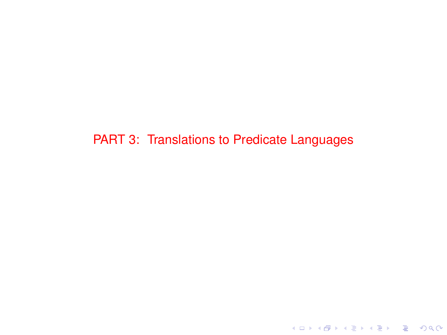PART 3: Translations to Predicate Languages

K ロ ▶ K @ ▶ K 할 ▶ K 할 ▶ . 할 . ⊙ Q Q\*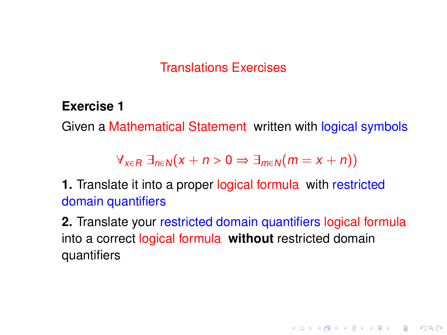#### Translations Exercises

**Exercise 1**

Given a Mathematical Statement written with logical symbols

 $\forall_{x \in R} \exists_{n \in N} (x + n > 0 \Rightarrow \exists_{m \in N} (m = x + n))$ 

**1.** Translate it into a proper logical formula with restricted domain quantifiers

**2.** Translate your restricted domain quantifiers logical formula into a correct logical formula **without** restricted domain quantifiers

**KORKA EXTER I DAR**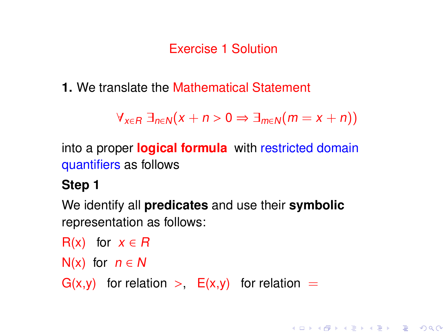<span id="page-73-0"></span>**1.** We translate the Mathematical Statement

 $\forall_{x \in R} \exists_{n \in N} (x + n > 0 \Rightarrow \exists_{m \in N} (m = x + n))$ 

**KORK EXTERNE PROVIDE** 

into a proper **logical formula** with restricted domain quantifiers as follows

## **Step 1**

We identify all **predicates** and use their **symbolic** representation as follows:

```
R(x) for x \in R
```

```
N(x) for n \in N
```
 $G(x,y)$  for relation  $\gt$ ,  $E(x,y)$  for relation  $=$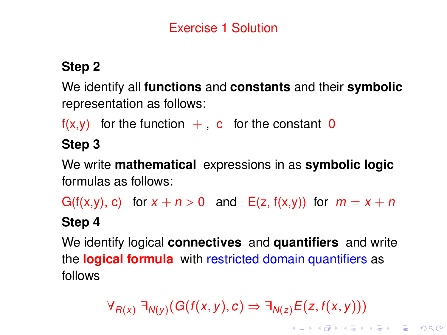## **Step 2**

We identify all **functions** and **constants** and their **symbolic** representation as follows:

 $f(x,y)$  for the function  $+$ , c for the constant 0

## **Step 3**

We write **mathematical** expressions in as **symbolic logic** formulas as follows:

G(f(x,y), c) for  $x + n > 0$  and E(z, f(x,y)) for  $m = x + n$ **Step 4**

We identify logical **connectives** and **quantifiers** and write the **logical formula** with restricted domain quantifiers as follows

 $\forall_{R(x)} \exists_{N(y)} (G(f(x,y), c) \Rightarrow \exists_{N(z)} E(z, f(x, y)))$  $\forall_{R(x)} \exists_{N(y)} (G(f(x,y), c) \Rightarrow \exists_{N(z)} E(z, f(x, y)))$  $\forall_{R(x)} \exists_{N(y)} (G(f(x,y), c) \Rightarrow \exists_{N(z)} E(z, f(x, y)))$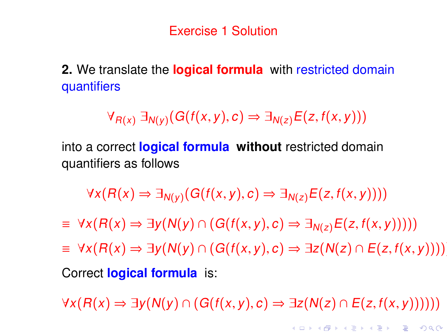<span id="page-75-0"></span>**2.** We translate the **logical formula** with restricted domain quantifiers

 $\forall_{R(x)} \exists_{N(y)} (G(f(x,y), c) \Rightarrow \exists_{N(z)} E(z, f(x,y)))$ 

into a correct **logical formula without** restricted domain quantifiers as follows

 $\forall x (R(x) \Rightarrow \exists_{N(y)} (G(f(x,y), c) \Rightarrow \exists_{N(z)} E(z, f(x, y))))$ 

 $\equiv \forall x (R(x) \Rightarrow \exists y (N(y) \cap (G(f(x, y), c) \Rightarrow \exists_{N(z)} E(z, f(x, y))))$ 

≡ ∀x(R(x) ⇒ ∃y(N(y) <sup>∩</sup> (G(f(x, <sup>y</sup>), <sup>c</sup>) ⇒ ∃z(N(z) <sup>∩</sup> <sup>E</sup>(z, <sup>f</sup>(x, <sup>y</sup>))))))

Correct **logical formula** is:

 $\forall x(R(x) \Rightarrow \exists y(N(y) \cap (G(f(x, y), c) \Rightarrow \exists z(N(z) \cap E(z, f(x, y))))))$ 

**KORKA EXTER I DAR**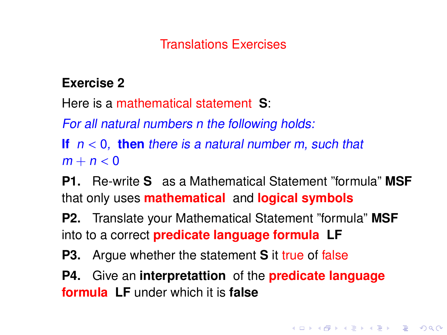## Translations Exercises

#### **Exercise 2**

Here is a mathematical statement **S**:

For all natural numbers n the following holds:

**If**  $n < 0$ , then there is a natural number m, such that  $m + n < 0$ 

**P1.** Re-write **S** as a Mathematical Statement "formula" **MSF** that only uses **mathematical** and **logical symbols**

**P2.** Translate your Mathematical Statement "formula" **MSF** into to a correct **predicate language formula LF**

**P3.** Argue whether the statement **S** it true of false

**P4.** Give an **interpretattion** of the **predicate language formula LF** under which it is **false**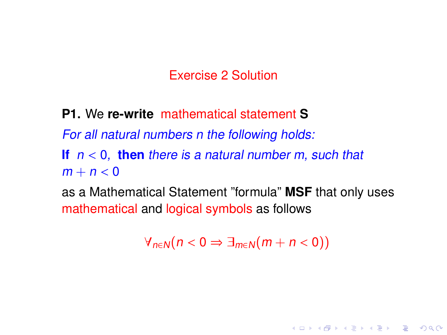**P1.** We **re-write** mathematical statement **S**

For all natural numbers n the following holds:

**If**  $n < 0$ , then there is a natural number m, such that  $m + n < 0$ 

as a Mathematical Statement "formula" **MSF** that only uses mathematical and logical symbols as follows

 $\forall_{n\in\mathbb{N}}(n < 0 \Rightarrow \exists_{m\in\mathbb{N}}(m+n < 0))$ 

**KORK EXTERNE PROVIDE**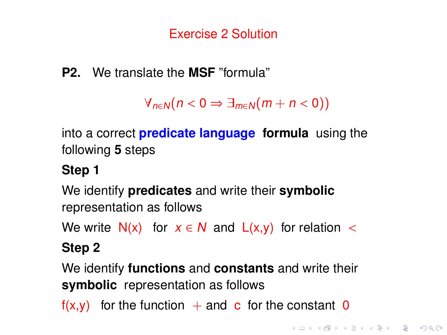**P2.** We translate the **MSF** "formula"

```
\forall_{n\in\mathbb{N}}(n<0 \Rightarrow \exists_{m\in\mathbb{N}}(m+n<0))
```
into a correct **predicate language formula** using the following **5** steps

## **Step 1**

We identify **predicates** and write their **symbolic** representation as follows

We write  $N(x)$  for  $x \in N$  and  $L(x,y)$  for relation <

# **Step 2**

We identify **functions** and **constants** and write their **symbolic** representation as follows

 $f(x,y)$  for the function  $+$  and c for the constant 0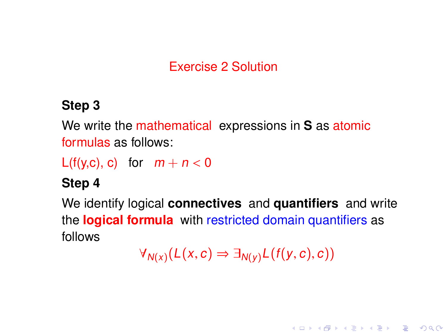## **Step 3**

We write the mathematical expressions in **S** as atomic formulas as follows:

 $L(f(y, c), c)$  for  $m + n < 0$ 

## **Step 4**

We identify logical **connectives** and **quantifiers** and write the **logical formula** with restricted domain quantifiers as follows

$$
\forall_{N(x)}(L(x,c) \Rightarrow \exists_{N(y)}L(f(y,c),c))
$$

**KORK EXTERNE PROVIDE**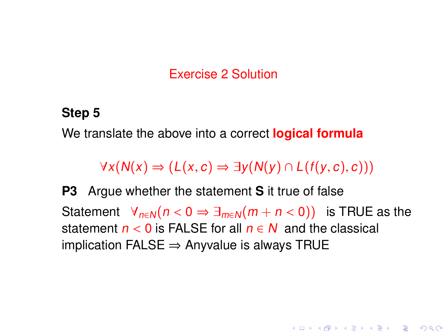#### **Step 5**

We translate the above into a correct **logical formula**

 $\forall x(N(x) \Rightarrow (L(x, c) \Rightarrow \exists y(N(y) \cap L(f(y, c), c)))$ 

**P3** Argue whether the statement **S** it true of false Statement  $\forall_{n\in\mathbb{N}}(n < 0 \Rightarrow \exists_{m\in\mathbb{N}}(m + n < 0))$  is TRUE as the statement  $n < 0$  is FALSE for all  $n \in N$  and the classical implication FALSE  $\Rightarrow$  Anyvalue is always TRUE

**KORKA EXTER I DAR**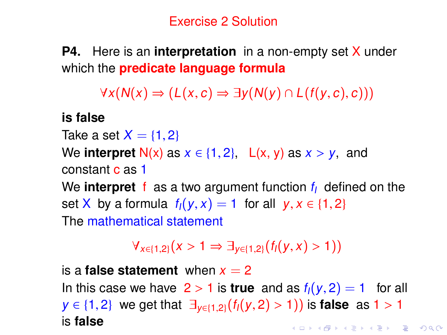**P4.** Here is an **interpretation** in a non-empty set X under which the **predicate language formula**

 $\forall x(N(x) \Rightarrow (L(x, c) \Rightarrow \exists y(N(y) \cap L(f(y, c), c)))$ 

**is false**

Take a set  $X = \{1, 2\}$ 

We **interpret**  $N(x)$  as  $x \in \{1, 2\}$ ,  $L(x, y)$  as  $x > y$ , and constant c as 1

We **interpret** f as a two argument function  $f_i$  defined on the set X by a formula  $f_1(y, x) = 1$  for all  $y, x \in \{1, 2\}$ The mathematical statement

 $\forall_{x \in \{1,2\}} (x > 1 \Rightarrow \exists_{y \in \{1,2\}} (f_1(y,x) > 1))$ 

is a **false statement** when  $x = 2$ In this case we have  $2 > 1$  is **true** and as  $f_1(y, 2) = 1$  for all  $y \in \{1, 2\}$  we get that  $\exists_{y \in \{1, 2\}} (f_1(y, 2) > 1)$  is **false** as  $1 > 1$  is **false** is **false**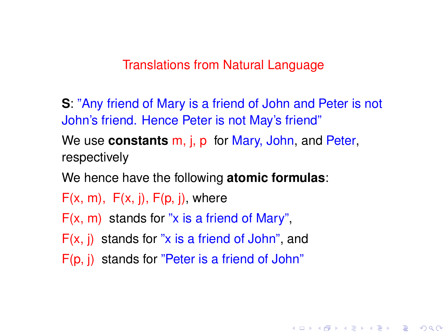#### Translations from Natural Language

**S**: "Any friend of Mary is a friend of John and Peter is not John's friend. Hence Peter is not May's friend"

**KORK EXTERNE PROVIDE** 

We use **constants** m, j, p for Mary, John, and Peter, respectively

We hence have the following **atomic formulas**:

 $F(x, m)$ ,  $F(x, i)$ ,  $F(p, i)$ , where

 $F(x, m)$  stands for "x is a friend of Mary".

- F(x, j) stands for "x is a friend of John", and
- F(p, j) stands for "Peter is a friend of John"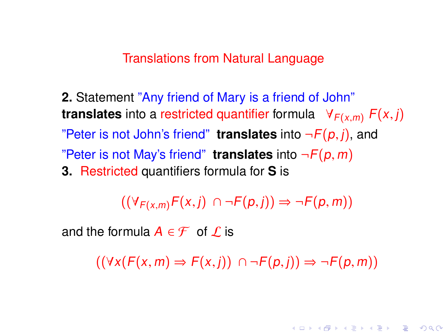Translations from Natural Language

**2.** Statement "Any friend of Mary is a friend of John" **translates** into a restricted quantifier formula  $\forall F(x,m) F(x,j)$ "Peter is not John's friend" **translates** into  $\neg F(p, j)$ , and "Peter is not May's friend" **translates** into  $\neg F(p, m)$ **3.** Restricted quantifiers formula for **S** is

 $((\forall_{F(x,m)}F(x, j) \cap \neg F(p, j)) \Rightarrow \neg F(p, m))$ 

and the formula  $A \in \mathcal{F}$  of  $\mathcal{L}$  is

 $((\forall x(F(x, m) \Rightarrow F(x, i)) \cap \neg F(p, i)) \Rightarrow \neg F(p, m))$ 

**KORKAPRA ER ET AQO**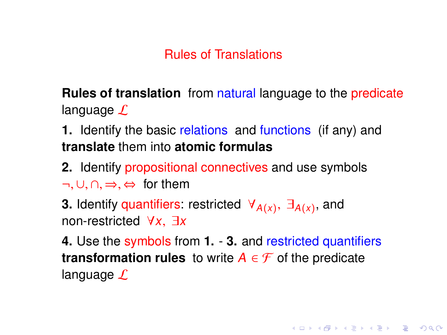**Rules of translation** from natural language to the predicate language  $\mathcal L$ 

**1.** Identify the basic relations and functions (if any) and **translate** them into **atomic formulas**

**2.** Identify propositional connectives and use symbols  $\neg, \cup, \cap, \Rightarrow, \Leftrightarrow$  for them

**3.** Identify quantifiers: restricted  $\forall_{A(x)}$ ,  $\exists_{A(x)}$ , and non-restricted  $\forall x \exists x$ non-restricted <sup>∀</sup>x, <sup>∃</sup><sup>x</sup>

**4.** Use the symbols from **1.** - **3.** and restricted quantifiers **transformation rules** to write  $A \in \mathcal{F}$  of the predicate language  $\mathcal L$ 

**KORKA EXTER I DAR**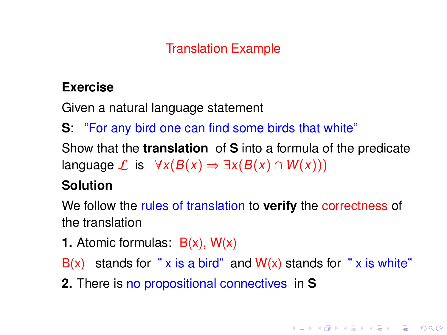### **Exercise**

Given a natural language statement

**S**: "For any bird one can find some birds that white"

Show that the **translation** of **S** into a formula of the predicate language  $\mathcal L$  is  $\forall x(B(x) \Rightarrow \exists x(B(x) \cap W(x)))$ 

### **Solution**

We follow the rules of translation to **verify** the correctness of the translation

**1.** Atomic formulas: B(x), W(x)

 $B(x)$  stands for " x is a bird" and  $W(x)$  stands for " x is white"

**2.** There is no propositional connectives in **S**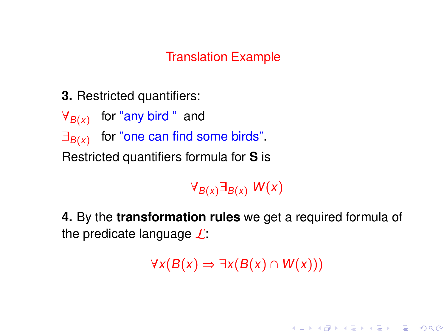**3.** Restricted quantifiers:

 $\forall_{B(x)}$  for "any bird " and  $\exists_{B(x)}$  for "one can find some birds". Restricted quantifiers formula for **S** is

 $\forall_{B(x)}\exists_{B(x)} W(x)$ 

**4.** By the **transformation rules** we get a required formula of the predicate language  $\mathcal{L}$ :

 $\forall x(B(x) \Rightarrow \exists x(B(x) \cap W(x)))$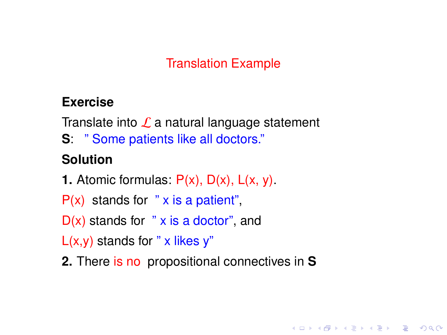### **Exercise**

Translate into  $\mathcal L$  a natural language statement

**S**: " Some patients like all doctors."

## **Solution**

- **1.** Atomic formulas: P(x), D(x), L(x, y).
- $P(x)$  stands for "x is a patient",
- $D(x)$  stands for " x is a doctor", and

 $L(x,y)$  stands for " x likes y"

**2.** There is no propositional connectives in **S**

**KORK EXTERNE PROVIDE**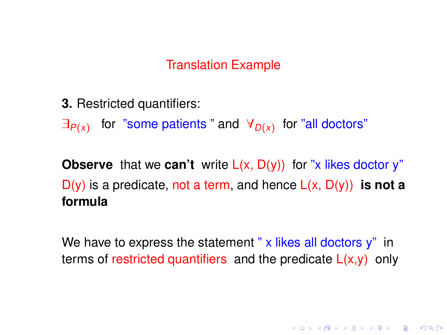**3.** Restricted quantifiers:

 $\exists_{P(x)}$  for "some patients " and  $\forall_{D(x)}$  for "all doctors"

**Observe** that we **can't** write  $L(x, D(y))$  for "x likes doctor y" D(y) is a predicate, not a term, and hence L(x, D(y)) **is not a formula**

We have to express the statement " $x$  likes all doctors  $y$ " in terms of restricted quantifiers and the predicate  $L(x,y)$  only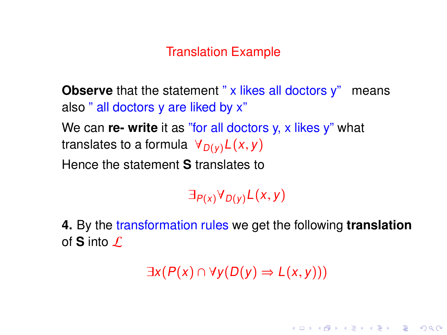**Observe** that the statement " x likes all doctors y" means also " all doctors y are liked by x" We can **re- write** it as "for all doctors y, x likes y" what translates to a formula  $\forall_{D(v)} L(x, y)$ Hence the statement **S** translates to

 $\exists_{P(x)} \forall_{D(y)} L(x, y)$ 

**4.** By the transformation rules we get the following **translation** of **S** into  $\mathcal{L}$ 

 $\exists x(P(x) \cap \forall y(D(y) \Rightarrow L(x, y)))$ 

**KORKAPRASHASH SHOAC**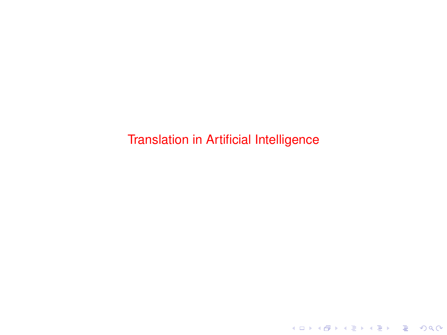Translation in Artificial Intelligence

K ロ ▶ K @ ▶ K 할 ▶ K 할 ▶ . 할 . ⊙ Q Q\*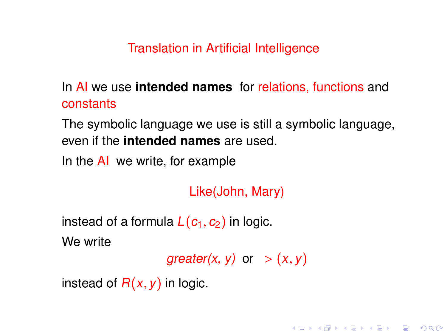Translation in Artificial Intelligence

In AI we use **intended names** for relations, functions and constants

The symbolic language we use is still a symbolic language, even if the **intended names** are used.

In the AI we write, for example

Like(John, Mary)

instead of a formula  $L(c_1, c_2)$  in logic. We write

greater(x, y) or  $> (x, y)$ 

K ロ ▶ K @ ▶ K 할 ▶ K 할 ▶ . 할 → 9 Q @

instead of  $R(x, y)$  in logic.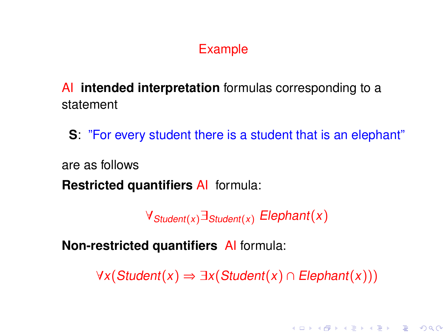## Example

AI **intended interpretation** formulas corresponding to a statement

**S**: "For every student there is a student that is an elephant"

are as follows

**Restricted quantifiers** AI formula:

 $\forall$ Student(x) $\exists$ Student(x) Elephant(x)

**Non-restricted quantifiers** AI formula:

 $\forall x$ (Student(x) ⇒ ∃x(Student(x) ∩ Elephant(x)))

**KORKAPRA ER ET AQO**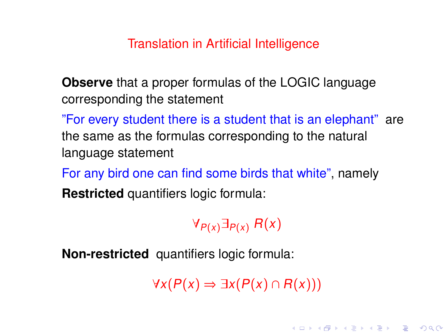#### Translation in Artificial Intelligence

**Observe** that a proper formulas of the LOGIC language corresponding the statement

"For every student there is a student that is an elephant" are the same as the formulas corresponding to the natural language statement

For any bird one can find some birds that white", namely **Restricted** quantifiers logic formula:

 $\forall_{P(x)} \exists_{P(x)} R(x)$ 

**Non-restricted** quantifiers logic formula:

 $\forall x(P(x) \Rightarrow \exists x(P(x) \cap R(x)))$ 

**KORKAPRA ER ET AQO**